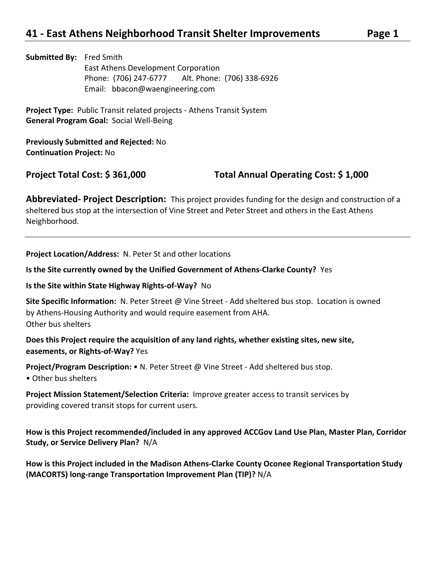**Submitted By:** Fred Smith East Athens Development Corporation Phone: (706) 247-6777 Alt. Phone: (706) 338-6926 Email: bbacon@waengineering.com

**Project Type:** Public Transit related projects - Athens Transit System **General Program Goal:** Social Well-Being

**Previously Submitted and Rejected:** No **Continuation Project:** No

**Project Total Cost: \$ 361,000 Total Annual Operating Cost: \$ 1,000**

**Abbreviated- Project Description:** This project provides funding for the design and construction of a sheltered bus stop at the intersection of Vine Street and Peter Street and others in the East Athens Neighborhood.

**Project Location/Address:** N. Peter St and other locations

**Is the Site currently owned by the Unified Government of Athens-Clarke County?** Yes

**Is the Site within State Highway Rights-of-Way?** No

**Site Specific Information:** N. Peter Street @ Vine Street - Add sheltered bus stop. Location is owned by Athens-Housing Authority and would require easement from AHA. Other bus shelters

**Does this Project require the acquisition of any land rights, whether existing sites, new site, easements, or Rights-of-Way?** Yes

**Project/Program Description:** • N. Peter Street @ Vine Street - Add sheltered bus stop.

• Other bus shelters

**Project Mission Statement/Selection Criteria:** Improve greater access to transit services by providing covered transit stops for current users.

**How is this Project recommended/included in any approved ACCGov Land Use Plan, Master Plan, Corridor Study, or Service Delivery Plan?** N/A

**How is this Project included in the Madison Athens-Clarke County Oconee Regional Transportation Study (MACORTS) long-range Transportation Improvement Plan (TIP)?** N/A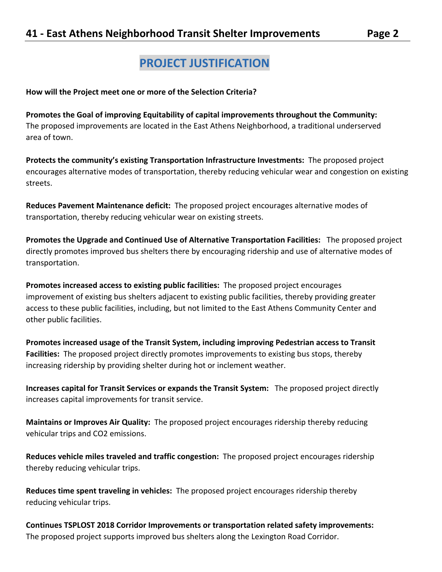## **PROJECT JUSTIFICATION**

**How will the Project meet one or more of the Selection Criteria?**

**Promotes the Goal of improving Equitability of capital improvements throughout the Community:**  The proposed improvements are located in the East Athens Neighborhood, a traditional underserved area of town.

**Protects the community's existing Transportation Infrastructure Investments:** The proposed project encourages alternative modes of transportation, thereby reducing vehicular wear and congestion on existing streets.

**Reduces Pavement Maintenance deficit:** The proposed project encourages alternative modes of transportation, thereby reducing vehicular wear on existing streets.

**Promotes the Upgrade and Continued Use of Alternative Transportation Facilities:** The proposed project directly promotes improved bus shelters there by encouraging ridership and use of alternative modes of transportation.

**Promotes increased access to existing public facilities:** The proposed project encourages improvement of existing bus shelters adjacent to existing public facilities, thereby providing greater access to these public facilities, including, but not limited to the East Athens Community Center and other public facilities.

**Promotes increased usage of the Transit System, including improving Pedestrian access to Transit Facilities:** The proposed project directly promotes improvements to existing bus stops, thereby increasing ridership by providing shelter during hot or inclement weather.

**Increases capital for Transit Services or expands the Transit System:** The proposed project directly increases capital improvements for transit service.

**Maintains or Improves Air Quality:** The proposed project encourages ridership thereby reducing vehicular trips and CO2 emissions.

**Reduces vehicle miles traveled and traffic congestion:** The proposed project encourages ridership thereby reducing vehicular trips.

**Reduces time spent traveling in vehicles:** The proposed project encourages ridership thereby reducing vehicular trips.

**Continues TSPLOST 2018 Corridor Improvements or transportation related safety improvements:**  The proposed project supports improved bus shelters along the Lexington Road Corridor.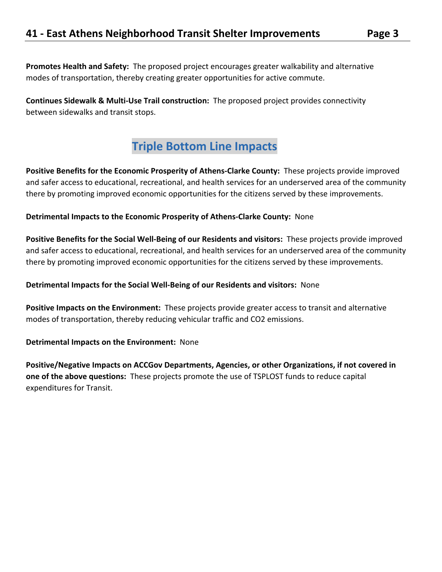**Promotes Health and Safety:** The proposed project encourages greater walkability and alternative modes of transportation, thereby creating greater opportunities for active commute.

**Continues Sidewalk & Multi-Use Trail construction:** The proposed project provides connectivity between sidewalks and transit stops.

# **Triple Bottom Line Impacts**

**Positive Benefits for the Economic Prosperity of Athens-Clarke County:** These projects provide improved and safer access to educational, recreational, and health services for an underserved area of the community there by promoting improved economic opportunities for the citizens served by these improvements.

**Detrimental Impacts to the Economic Prosperity of Athens-Clarke County:** None

**Positive Benefits for the Social Well-Being of our Residents and visitors:** These projects provide improved and safer access to educational, recreational, and health services for an underserved area of the community there by promoting improved economic opportunities for the citizens served by these improvements.

**Detrimental Impacts for the Social Well-Being of our Residents and visitors:** None

**Positive Impacts on the Environment:** These projects provide greater access to transit and alternative modes of transportation, thereby reducing vehicular traffic and CO2 emissions.

**Detrimental Impacts on the Environment:** None

**Positive/Negative Impacts on ACCGov Departments, Agencies, or other Organizations, if not covered in one of the above questions:** These projects promote the use of TSPLOST funds to reduce capital expenditures for Transit.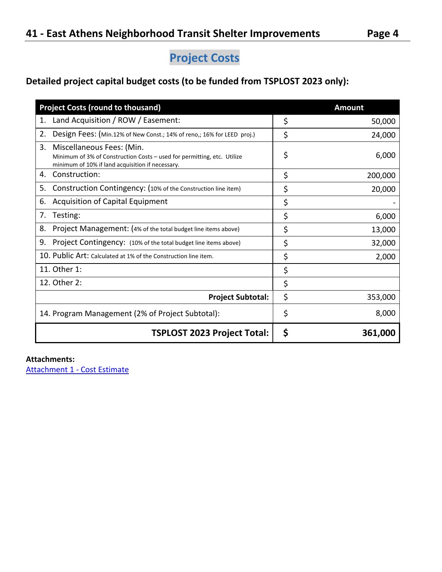# **Project Costs**

## **Detailed project capital budget costs (to be funded from TSPLOST 2023 only):**

| <b>Project Costs (round to thousand)</b>                                                                                                                       | <b>Amount</b> |
|----------------------------------------------------------------------------------------------------------------------------------------------------------------|---------------|
| Land Acquisition / ROW / Easement:<br>1.                                                                                                                       | \$<br>50,000  |
| 2.<br>Design Fees: (Min.12% of New Const.; 14% of reno,; 16% for LEED proj.)                                                                                   | \$<br>24,000  |
| 3.<br>Miscellaneous Fees: (Min.<br>Minimum of 3% of Construction Costs - used for permitting, etc. Utilize<br>minimum of 10% if land acquisition if necessary. | \$<br>6,000   |
| Construction:<br>4.                                                                                                                                            | \$<br>200,000 |
| Construction Contingency: (10% of the Construction line item)<br>5.                                                                                            | \$<br>20,000  |
| <b>Acquisition of Capital Equipment</b><br>6.                                                                                                                  | \$            |
| Testing:<br>7.                                                                                                                                                 | \$<br>6,000   |
| Project Management: (4% of the total budget line items above)<br>8.                                                                                            | \$<br>13,000  |
| 9.<br>Project Contingency: (10% of the total budget line items above)                                                                                          | \$<br>32,000  |
| 10. Public Art: Calculated at 1% of the Construction line item.                                                                                                | \$<br>2,000   |
| 11. Other 1:                                                                                                                                                   | \$            |
| 12. Other 2:                                                                                                                                                   | \$            |
| <b>Project Subtotal:</b>                                                                                                                                       | \$<br>353,000 |
| 14. Program Management (2% of Project Subtotal):                                                                                                               | \$<br>8,000   |
| <b>TSPLOST 2023 Project Total:</b>                                                                                                                             | \$<br>361,000 |

### **Attachments:**

[Attachment 1 -](https://s3.amazonaws.com/files.formstack.com/uploads/4416721/111256937/847389501/111256937_2021.08.14-east_athens_neighborhood_bus_shelters_cost.pdf) Cost Estimate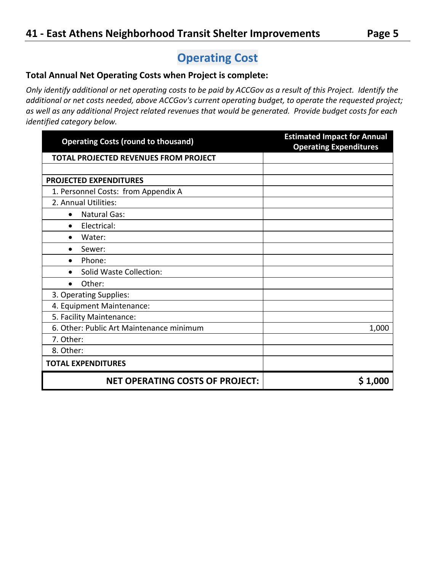# **Operating Cost**

### **Total Annual Net Operating Costs when Project is complete:**

*Only identify additional or net operating costs to be paid by ACCGov as a result of this Project. Identify the additional or net costs needed, above ACCGov's current operating budget, to operate the requested project; as well as any additional Project related revenues that would be generated. Provide budget costs for each identified category below.* 

| <b>Operating Costs (round to thousand)</b>   | <b>Estimated Impact for Annual</b><br><b>Operating Expenditures</b> |
|----------------------------------------------|---------------------------------------------------------------------|
| <b>TOTAL PROJECTED REVENUES FROM PROJECT</b> |                                                                     |
|                                              |                                                                     |
| <b>PROJECTED EXPENDITURES</b>                |                                                                     |
| 1. Personnel Costs: from Appendix A          |                                                                     |
| 2. Annual Utilities:                         |                                                                     |
| <b>Natural Gas:</b><br>$\bullet$             |                                                                     |
| Electrical:<br>$\bullet$                     |                                                                     |
| Water:<br>$\bullet$                          |                                                                     |
| Sewer:<br>$\bullet$                          |                                                                     |
| Phone:<br>$\bullet$                          |                                                                     |
| <b>Solid Waste Collection:</b><br>$\bullet$  |                                                                     |
| Other:<br>$\bullet$                          |                                                                     |
| 3. Operating Supplies:                       |                                                                     |
| 4. Equipment Maintenance:                    |                                                                     |
| 5. Facility Maintenance:                     |                                                                     |
| 6. Other: Public Art Maintenance minimum     | 1,000                                                               |
| 7. Other:                                    |                                                                     |
| 8. Other:                                    |                                                                     |
| <b>TOTAL EXPENDITURES</b>                    |                                                                     |
| <b>NET OPERATING COSTS OF PROJECT:</b>       | \$1,000                                                             |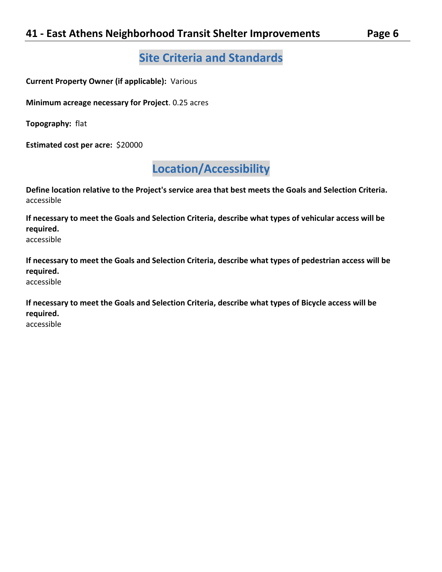## **Site Criteria and Standards**

**Current Property Owner (if applicable):** Various

**Minimum acreage necessary for Project**. 0.25 acres

**Topography:** flat

**Estimated cost per acre:** \$20000

# **Location/Accessibility**

**Define location relative to the Project's service area that best meets the Goals and Selection Criteria.**  accessible

**If necessary to meet the Goals and Selection Criteria, describe what types of vehicular access will be required.**

accessible

**If necessary to meet the Goals and Selection Criteria, describe what types of pedestrian access will be required.**  accessible

**If necessary to meet the Goals and Selection Criteria, describe what types of Bicycle access will be required.**

accessible